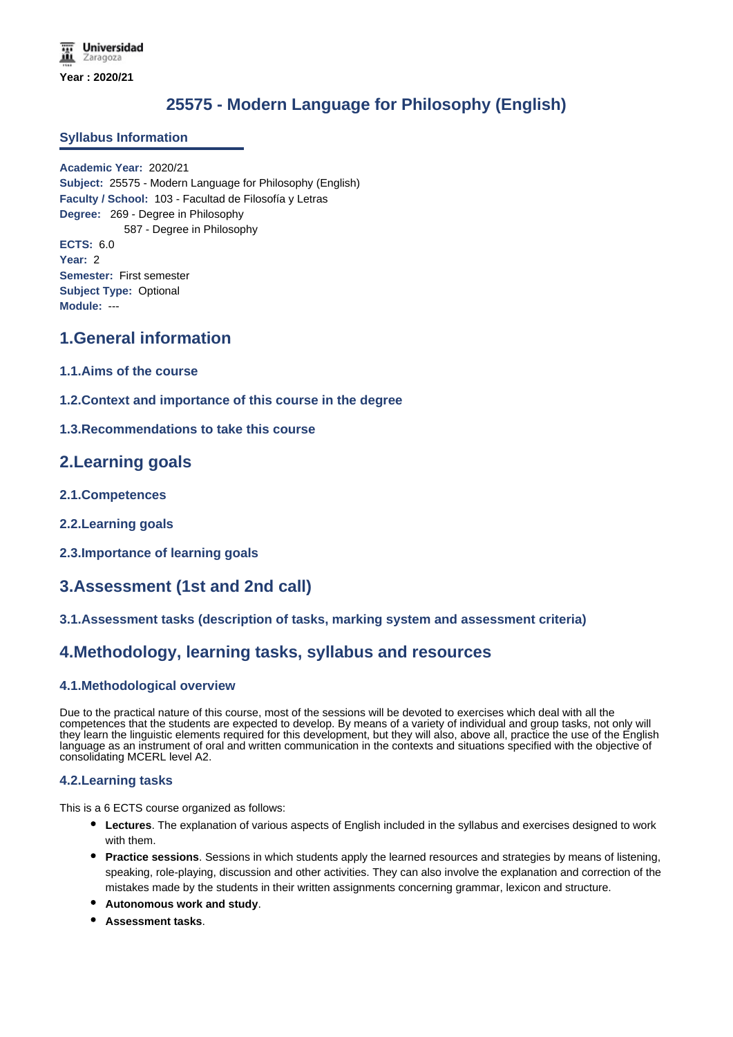# **25575 - Modern Language for Philosophy (English)**

#### **Syllabus Information**

**Academic Year:** 2020/21 **Subject:** 25575 - Modern Language for Philosophy (English) **Faculty / School:** 103 - Facultad de Filosofía y Letras **Degree:** 269 - Degree in Philosophy 587 - Degree in Philosophy **ECTS:** 6.0 **Year:** 2 **Semester:** First semester **Subject Type:** Optional **Module:** ---

# **1.General information**

- **1.1.Aims of the course**
- **1.2.Context and importance of this course in the degree**
- **1.3.Recommendations to take this course**

## **2.Learning goals**

- **2.1.Competences**
- **2.2.Learning goals**
- **2.3.Importance of learning goals**

# **3.Assessment (1st and 2nd call)**

### **3.1.Assessment tasks (description of tasks, marking system and assessment criteria)**

# **4.Methodology, learning tasks, syllabus and resources**

### **4.1.Methodological overview**

Due to the practical nature of this course, most of the sessions will be devoted to exercises which deal with all the competences that the students are expected to develop. By means of a variety of individual and group tasks, not only will they learn the linguistic elements required for this development, but they will also, above all, practice the use of the English language as an instrument of oral and written communication in the contexts and situations specified with the objective of consolidating MCERL level A2.

#### **4.2.Learning tasks**

This is a 6 ECTS course organized as follows:

- **Lectures**. The explanation of various aspects of English included in the syllabus and exercises designed to work with them.
- **Practice sessions**. Sessions in which students apply the learned resources and strategies by means of listening, speaking, role-playing, discussion and other activities. They can also involve the explanation and correction of the mistakes made by the students in their written assignments concerning grammar, lexicon and structure.
- **Autonomous work and study**.
- **Assessment tasks**.